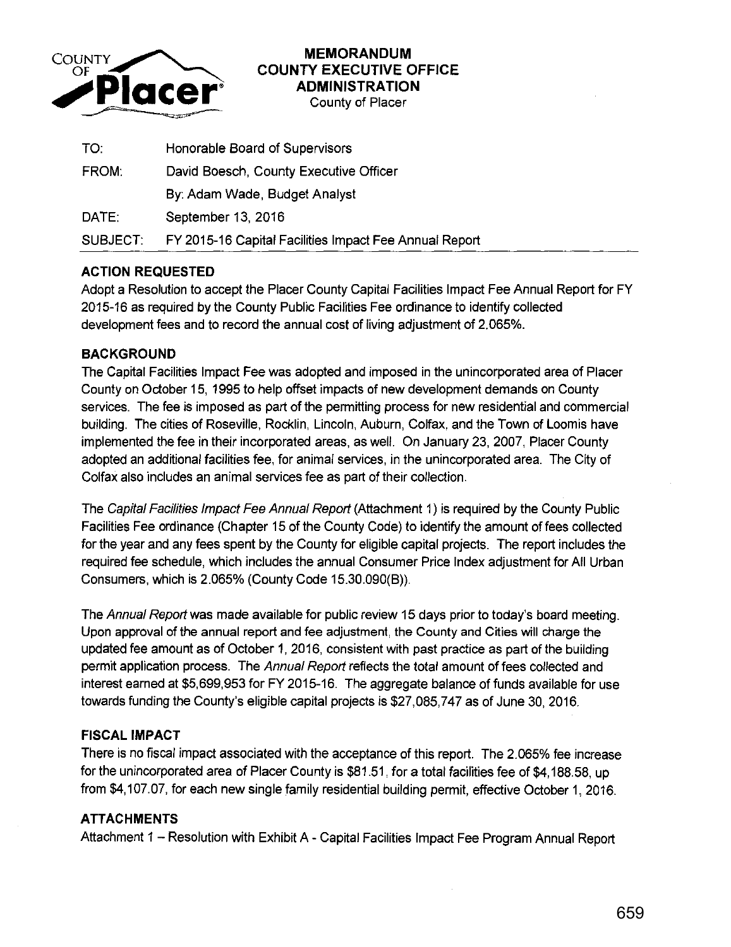

## **MEMORANDUM COUNTY EXECUTIVE OFFICE ADMINISTRATION**

County of Placer

| TO.      | Honorable Board of Supervisors                         |
|----------|--------------------------------------------------------|
| FROM:    | David Boesch, County Executive Officer                 |
|          | By: Adam Wade, Budget Analyst                          |
| DATE:    | September 13, 2016                                     |
| SUBJECT: | FY 2015-16 Capital Facilities Impact Fee Annual Report |

#### **ACTION REQUESTED**

Adopt a Resolution to accept the Placer County Capital Facilities Impact Fee Annual Report for FY 2015-16 as required by the County Public Facilities Fee ordinance to identify collected development fees and to record the annual cost of living adjustment of 2.065%.

#### **BACKGROUND**

The Capital Facilities Impact Fee was adopted and imposed in the unincorporated area of Placer County on October 15, 1995 to help offset impacts of new development demands on County services. The fee is imposed as part of the permitting process for new residential and commercial building. The cities of Roseville, Rocklin, Lincoln, Auburn, Colfax, and the Town of Loomis have implemented the fee in their incorporated areas, as well. On January 23, 2007, Placer County adopted an additional facilities fee, for animal services, in the unincorporated area. The City of Colfax also includes an animal services fee as part of their collection.

The Capital Facilities Impact Fee Annual Report (Attachment 1) is required by the County Public Facilities Fee ordinance (Chapter 15 of the County Code) to identify the amount of fees collected for the year and any fees spent by the County for eligible capital projects. The report includes the required fee schedule, which includes the annual Consumer Price Index adjustment for All Urban Consumers, which is 2.065% (County Code 15.30.090(B)).

The Annual Report was made available for public review 15 days prior to today's board meeting. Upon approval of the annual report and fee adjustment, the County and Cities will charge the updated fee amount as of October 1, 2016, consistent with past practice as part of the building permit application process. The Annual Report reflects the total amount of fees collected and interest earned at \$5,699,953 for FY 2015-16. The aggregate balance of funds available for use towards funding the County's eligible capital projects is \$27,085,747 as of June 30, 2016.

#### **FISCAL IMPACT**

There is no fiscal impact associated with the acceptance of this report. The 2.065% fee increase for the unincorporated area of Placer County is \$81.51, for a total facilities fee of \$4, 188.58, up from \$4,1 07.07, for each new single family residential building permit, effective October 1, 2016.

### **ATTACHMENTS**

Attachment 1 - Resolution with Exhibit A - Capital Facilities Impact Fee Program Annual Report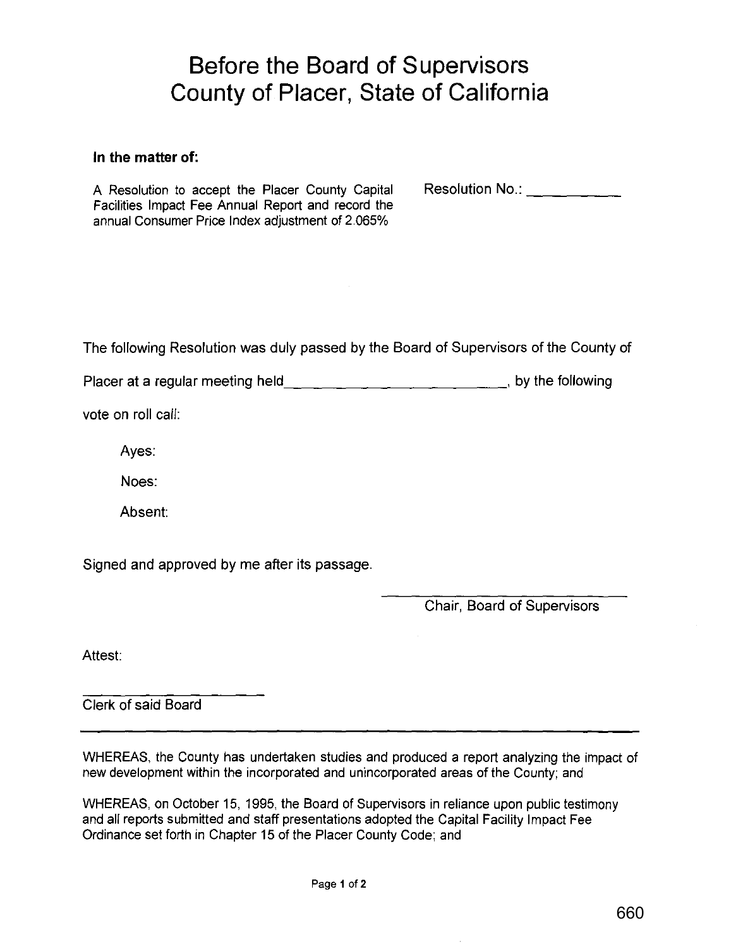# **Before the Board of Supervisors County of Placer, State of California**

#### **In the matter of:**

A Resolution to accept the Placer County Capital Facilities Impact Fee Annual Report and record the annual Consumer Price Index adjustment of 2.065%

Resolution No.:  $\frac{1}{2}$   $\frac{1}{2}$   $\frac{1}{2}$   $\frac{1}{2}$ 

The following Resolution was duly passed by the Board of Supervisors of the County of

Placer at a regular meeting held\_\_\_\_\_\_\_\_\_\_\_\_\_\_\_\_\_\_\_\_\_\_\_\_\_\_\_\_\_\_\_\_, by the following

vote on roll call:

Ayes:

Noes:

Absent:

Signed and approved by me after its passage.

Chair, Board of Supervisors

Attest:

Clerk of said Board

WHEREAS, the County has undertaken studies and produced a report analyzing the impact of new development within the incorporated and unincorporated areas of the County; and

WHEREAS, on October 15, 1995, the Board of Supervisors in reliance upon public testimony and all reports submitted and staff presentations adopted the Capital Facility Impact Fee Ordinance set forth in Chapter 15 of the Placer County Code; and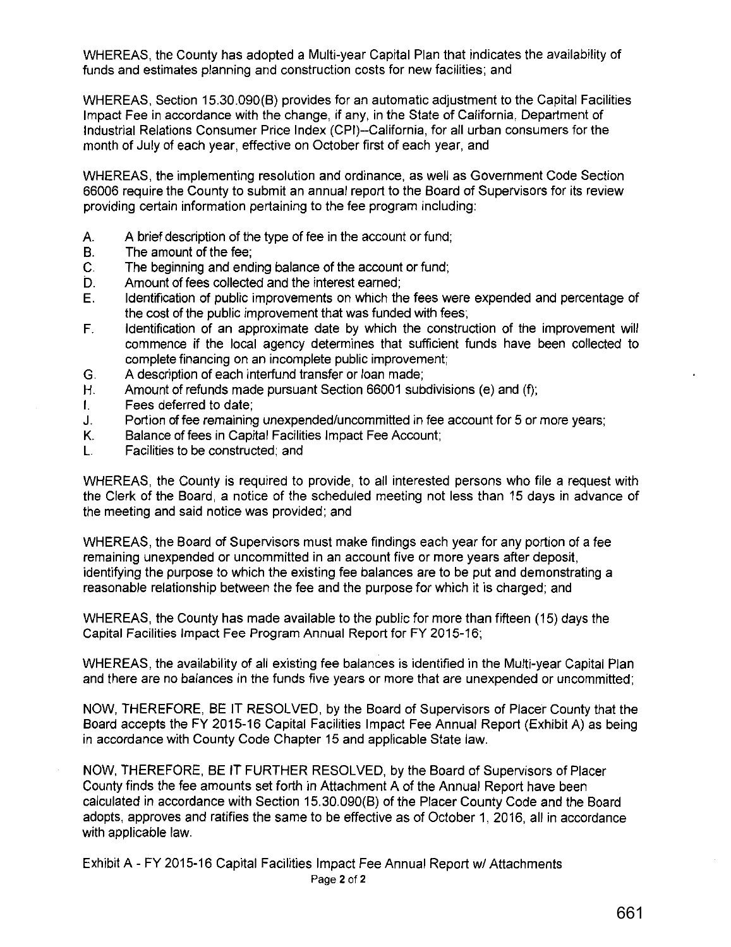WHEREAS, the County has adopted a Multi-year Capital Plan that indicates the availability of funds and estimates planning and construction costs for new facilities; and

WHEREAS, Section 15.30.090(B) provides for an automatic adjustment to the Capital Facilities Impact Fee in accordance with the change, if any, in the State of California, Department of Industrial Relations Consumer Price Index (CPI)--California, for all urban consumers for the month of July of each year, effective on October first of each year, and

WHEREAS, the implementing resolution and ordinance, as well as Government Code Section 66006 require the County to submit an annual report to the Board of Supervisors for its review providing certain information pertaining to the fee program including:

- A. A brief description of the type of fee in the account or fund;
- B. The amount of the fee;
- C. The beginning and ending balance of the account or fund;
- D. Amount of fees collected and the interest earned;
- E. Identification of public improvements on which the fees were expended and percentage of the cost of the public improvement that was funded with fees;
- F. Identification of an approximate date by which the construction of the improvement will commence if the local agency determines that sufficient funds have been collected to complete financing on an incomplete public improvement;
- G. A description of each interfund transfer or loan made;
- H. Amount of refunds made pursuant Section 66001 subdivisions (e) and (f);
- I. Fees deferred to date;
- J. Portion of fee remaining unexpended/uncommitted in fee account for 5 or more years;
- K. Balance of fees in Capital Facilities Impact Fee Account;
- L. Facilities to be constructed; and

WHEREAS, the County is required to provide, to all interested persons who file a request with the Clerk of the Board, a notice of the scheduled meeting not less than 15 days in advance of the meeting and said notice was provided; and

WHEREAS, the Board of Supervisors must make findings each year for any portion of a fee remaining unexpended or uncommitted in an account five or more years after deposit, identifying the purpose to which the existing fee balances are to be put and demonstrating a reasonable relationship between the fee and the purpose for which it is charged; and

WHEREAS, the County has made available to the public for more than fifteen (15) days the Capital Facilities Impact Fee Program Annual Report for FY 2015-16;

WHEREAS, the availability of all existing fee balances is identified in the Multi-year Capital Plan and there are no balances in the funds five years or more that are unexpended or uncommitted;

NOW, THEREFORE, BE IT RESOLVED, by the Board of Supervisors of Placer County that the Board accepts the FY 2015-16 Capital Facilities Impact Fee Annual Report (Exhibit A) as being in accordance with County Code Chapter 15 and applicable State law.

NOW, THEREFORE, BE IT FURTHER RESOLVED, by the Board of Supervisors of Placer County finds the fee amounts set forth in Attachment A of the Annual Report have been calculated in accordance with Section 15.30.090(B) of the Placer County Code and the Board adopts, approves and ratifies the same to be effective as of October 1, 2016, all in accordance with applicable law.

Exhibit A- FY 2015-16 Capital Facilities Impact Fee Annual Report w/ Attachments Page 2 of 2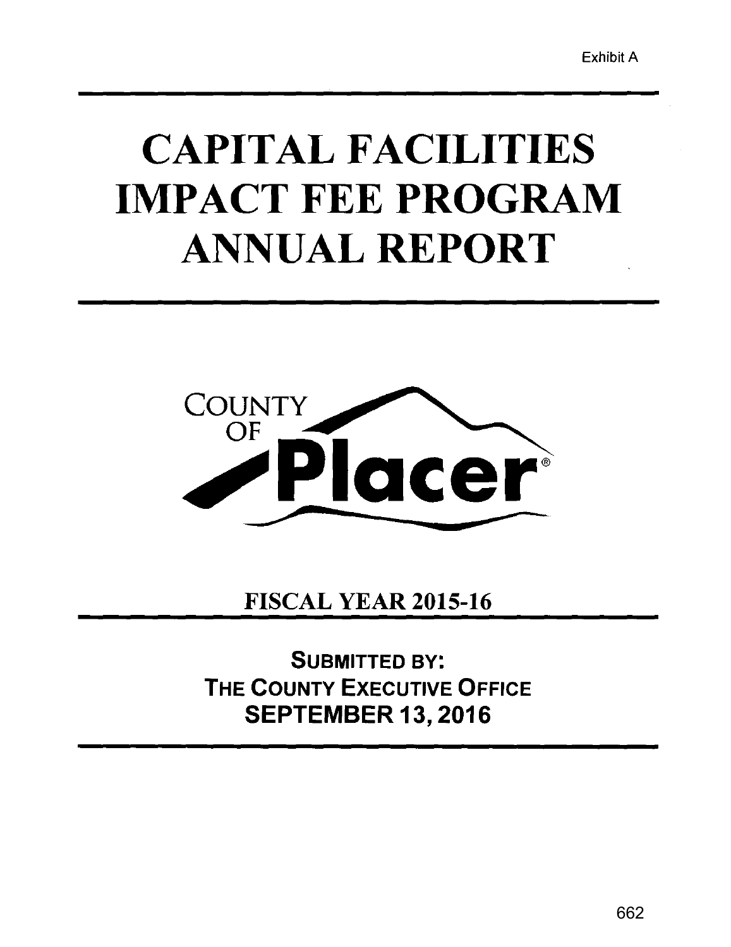# CAPITAL FACILITIES IMPACT FEE PROGRAM ANNUAL REPORT



FISCAL YEAR 2015-16

SUBMITTED BY: THE COUNTY EXECUTIVE OFFICE SEPTEMBER 13, 2016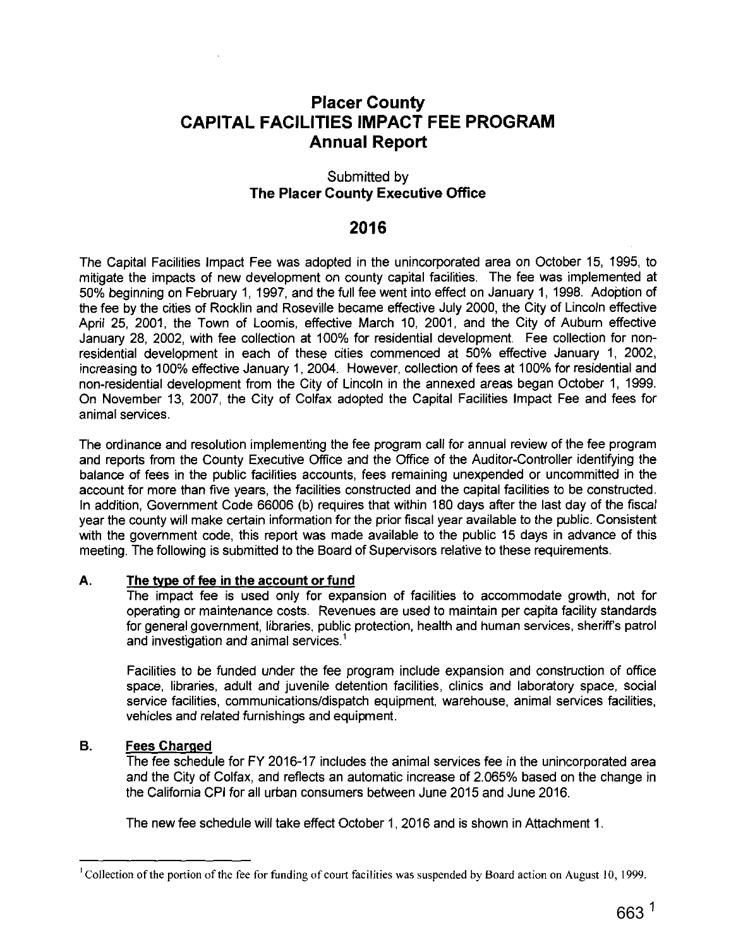# **Placer County CAPITAL FACILITIES IMPACT FEE PROGRAM Annual Report**

#### Submitted by **The Placer County Executive Office**

# **2016**

The Capital Facilities Impact Fee was adopted in the unincorporated area on October 15, 1995, to mitigate the impacts of new development on county capital facilities. The fee was implemented at 50% beginning on February 1, 1997, and the full fee went into effect on January 1, 1998. Adoption of the fee by the cities of Rocklin and Roseville became effective July 2000, the City of Lincoln effective April 25, 2001, the Town of Loomis, effective March 10, 2001, and the City of Auburn effective January 28, 2002, with fee collection at 100% for residential development. Fee collection for nonresidential development in each of these cities commenced at 50% effective January 1, 2002, increasing to 100% effective January 1, 2004. However, collection of fees at 100% for residential and non-residential development from the City of Lincoln in the annexed areas began October 1, 1999. On November 13, 2007, the City of Colfax adopted the Capital Facilities Impact Fee and fees for animal services.

The ordinance and resolution implementing the fee program call for annual review of the fee program and reports from the County Executive Office and the Office of the Auditor-Controller identifying the balance of fees in the public facilities accounts, fees remaining unexpended or uncommitted in the account for more than five years, the facilities constructed and the capital facilities to be constructed. In addition, Government Code 66006 (b) requires that within 180 days after the last day of the fiscal year the county will make certain information for the prior fiscal year available to the public. Consistent with the government code, this report was made available to the public 15 days in advance of this meeting. The following is submitted to the Board of Supervisors relative to these requirements.

#### **A. The type of fee in the account or fund**

The impact fee is used only for expansion of facilities to accommodate growth, not for operating or maintenance costs. Revenues are used to maintain per capita facility standards for general government, libraries, public protection, health and human services, sheriff's patrol and investigation and animal services.<sup>1</sup>

Facilities to be funded under the fee program include expansion and construction of office space, libraries, adult and juvenile detention facilities, clinics and laboratory space, social service facilities, communications/dispatch equipment, warehouse, animal services facilities, vehicles and related furnishings and equipment.

#### **B. Fees Charged**

The fee schedule for FY 2016-17 includes the animal services fee in the unincorporated area and the City of Colfax, and reflects an automatic increase of 2.065% based on the change in the California CPI for all urban consumers between June 2015 and June 2016.

The new fee schedule will take effect October 1, 2016 and is shown in Attachment 1.

<sup>1</sup> Collection of the portion of the fee for funding of court facilities was suspended by Board action on August 10, 1999.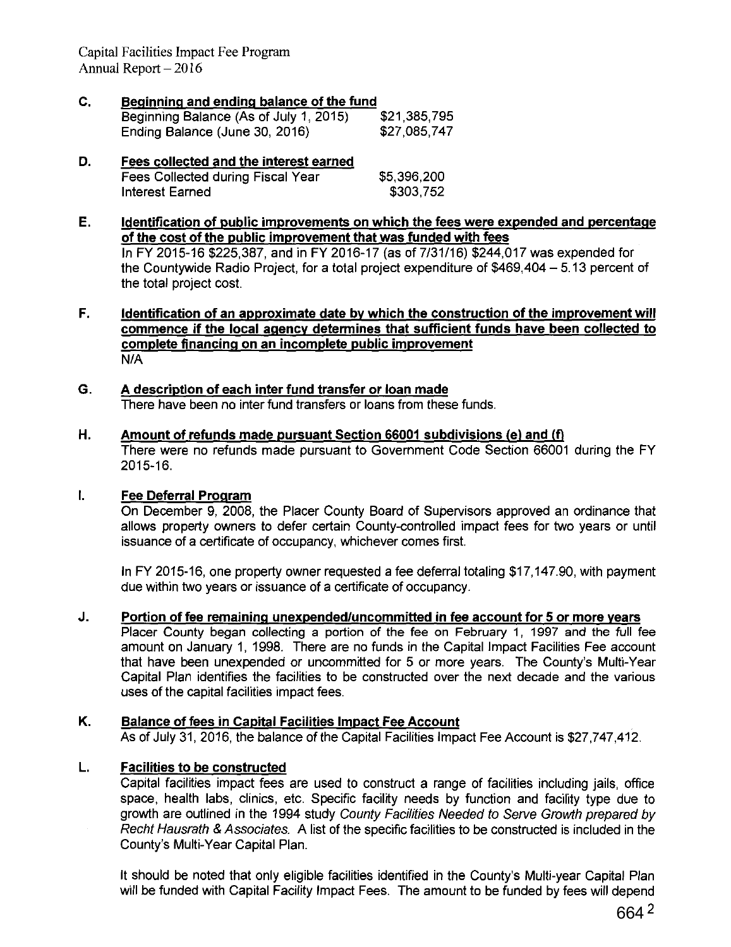Capital Facilities Impact Fee Program Annual Report  $-2016$ 

- **C. Beginning and ending balance of the fund**  Beginning Balance (As of July 1, 2015) \$21,385,795 Ending Balance (June 30, 2016) \$27,085,747
- **D. Fees collected and the interest earned**  Fees Collected during Fiscal Year Interest Earned \$5,396,200 \$303,752
- **E. Identification of public improvements on which the fees were expended and percentage of the cost of the public improvement that was funded with fees**  In FY 2015-16\$225,387, and in FY 2016-17 (as of 7/31/16) \$244,017 was expended for the Countywide Radio Project, for a total project expenditure of \$469,404- 5.13 percent of the total project cost.
- **F. Identification of an approximate date by which the construction of the improvement will commence if the local agency determines that sufficient funds have been collected to complete financing on an incomplete public improvement**  N/A
- **G. A description of each inter fund transfer or loan made**  There have been no inter fund transfers or loans from these funds.
- **H. Amount of refunds made pursuant Section 66001 subdivisions (e) and (fl**  There were no refunds made pursuant to Government Code Section 66001 during the FY 2015-16.

#### **I. Fee Deferral Program**

On December 9, 2008, the Placer County Board of Supervisors approved an ordinance that allows property owners to defer certain County-controlled impact fees for two years or until issuance of a certificate of occupancy, whichever comes first.

In FY 2015-16, one property owner requested a fee deferral totaling \$17,147.90, with payment due within two years or issuance of a certificate of occupancy.

**J. Portion of fee remaining unexpended/uncommitted in fee account for 5 or more years** 

Placer County began collecting a portion of the fee on February 1, 1997 and the full fee amount on January 1, 1998. There are no funds in the Capital Impact Facilities Fee account that have been unexpended or uncommitted for 5 or more years. The County's Multi-Year Capital Plan identifies the facilities to be constructed over the next decade and the various uses of the capital facilities impact fees.

#### **K. Balance of fees in Capital Facilities Impact Fee Account**

As of July 31, 2016, the balance of the Capital Facilities Impact Fee Account is \$27,747,412.

#### **L. Facilities to be constructed**

Capital facilities impact fees are used to construct a range of facilities including jails, office space, health labs, clinics, etc. Specific facility needs by function and facility type due to growth are outlined in the 1994 study County Facilities Needed to Serve Growth prepared by Recht Hausrath & Associates. A list of the specific facilities to be constructed is included in the County's Multi-Year Capital Plan.

It should be noted that only eligible facilities identified in the County's Multi-year Capital Plan will be funded with Capital Facility Impact Fees. The amount to be funded by fees will depend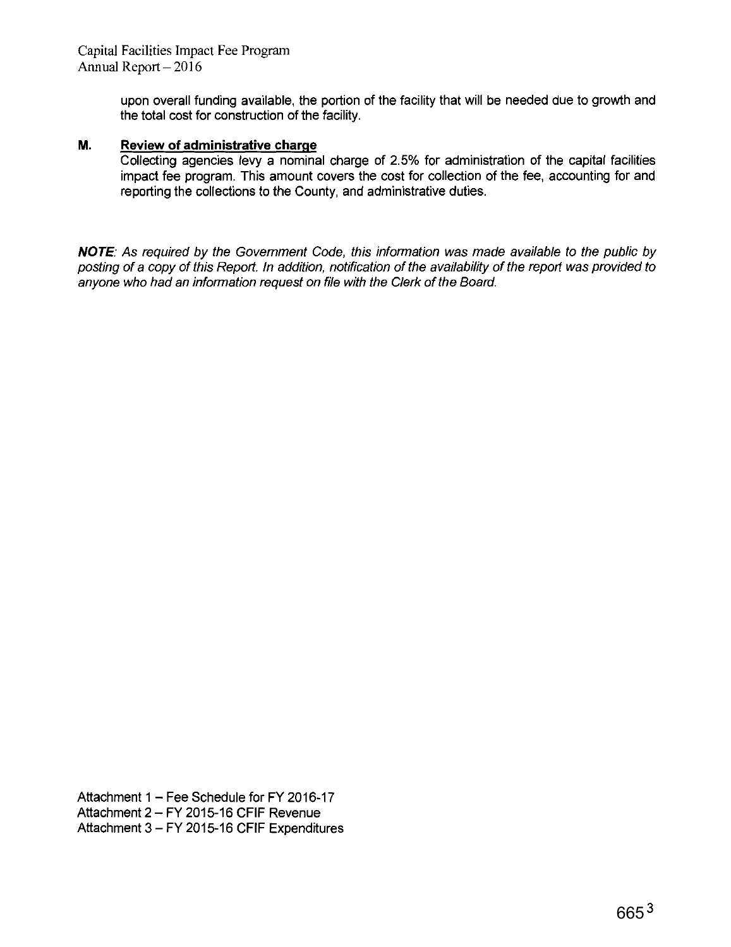upon overall funding available, the portion of the facility that will be needed due to growth and the total cost for construction of the facility.

#### **M. Review of administrative charge**

Collecting agencies levy a nominal charge of 2.5% for administration of the capital facilities impact fee program. This amount covers the cost for collection of the fee, accounting for and reporting the collections to the County, and administrative duties.

**NOTE:** As required by the Government Code, this information was made available to the public by posting of a copy of this Report. In addition, notification of the availability of the report was provided to anyone who had an information request on file with the Clerk of the Board.

Attachment  $1 -$  Fee Schedule for FY 2016-17 Attachment 2- FY 2015-16 CFIF Revenue Attachment 3- FY 2015-16 CFIF Expenditures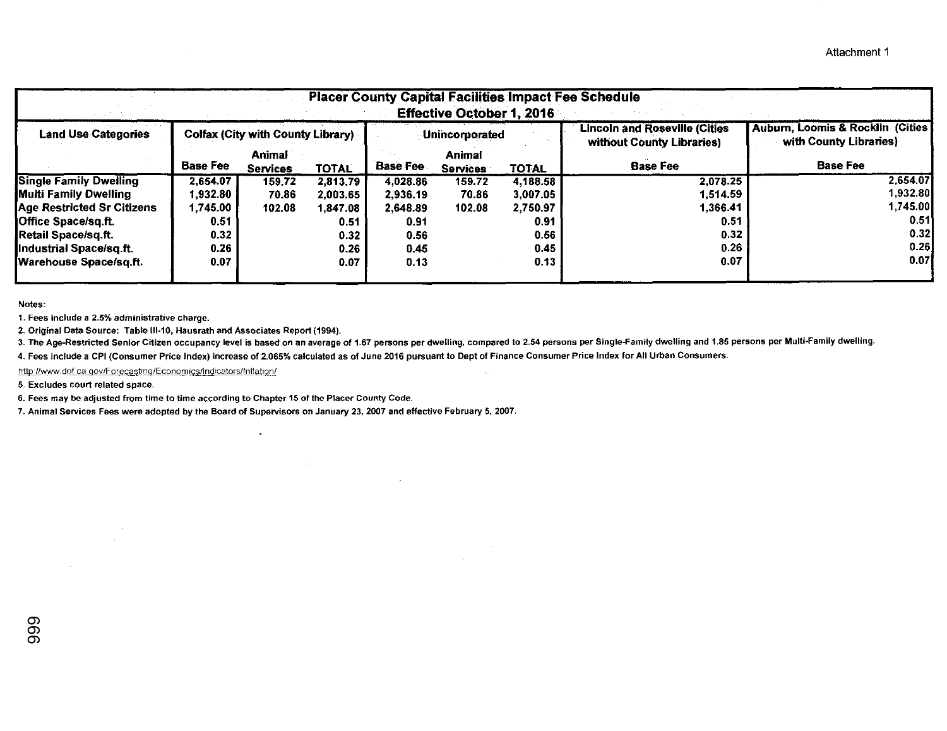| <b>Placer County Capital Facilities Impact Fee Schedule</b><br><b>Effective October 1, 2016</b> |                                   |                           |              |                 |                                  |          |                                                                   |                                                             |  |
|-------------------------------------------------------------------------------------------------|-----------------------------------|---------------------------|--------------|-----------------|----------------------------------|----------|-------------------------------------------------------------------|-------------------------------------------------------------|--|
| <b>Land Use Categories</b>                                                                      | Colfax (City with County Library) |                           |              | Unincorporated  |                                  |          | <b>Lincoln and Roseville (Cities</b><br>without County Libraries) | Auburn, Loomis & Rocklin (Cities)<br>with County Libraries) |  |
|                                                                                                 | <b>Base Fee</b>                   | Animal<br><b>Services</b> | <b>TOTAL</b> | <b>Base Fee</b> | <b>Animal</b><br><b>Services</b> | TOTAL    | <b>Base Fee</b>                                                   | <b>Base Fee</b>                                             |  |
| <b>Single Family Dwelling</b>                                                                   | 2.654.07                          | 159,72                    | 2,813.79     | 4.028.86        | 159.72                           | 4,188.58 | 2,078.25                                                          | 2.654.07                                                    |  |
| Multi Family Dwelling                                                                           | 1,932.80                          | 70.86                     | 2,003.65     | 2,936.19        | 70.86                            | 3,007.05 | 1,514.59                                                          | 1.932.80                                                    |  |
| <b>Age Restricted Sr Citizens</b>                                                               | .745.00                           | 102.08                    | 1,847.08     | 2.648.89        | 102.08                           | 2,750.97 | 1.366.41                                                          | 1.745.00                                                    |  |
| Office Space/sq.ft.                                                                             | 0.51                              |                           | 0.51         | 0.91            |                                  | 0.91     | 0.51                                                              | 0.51                                                        |  |
| <b>Retail Space/sq.ft.</b>                                                                      | 0.32 <sub>1</sub>                 |                           | 0.32         | 0.56            |                                  | 0.56     | 0.32                                                              | 0.32                                                        |  |
| Industrial Space/sq.ft.                                                                         | 0.26                              |                           | 0.26         | 0.45            |                                  | 0.45     | 0.26                                                              | 0.26                                                        |  |
| Warehouse Space/sq.ft.                                                                          | 0.07                              |                           | 0.07         | 0.13            |                                  | 0.13     | 0.07                                                              | 0.07                                                        |  |

Notes:

1. Fees include a 2.5% administrative charge.

 $\sim 10^7$ 

 $\sim$ 

2. Original Data Source: Table III-10, Hausrath and Associates Report (1994).

3. The Age-Restricted Senior Citizen occupancy level is based on an average of 1.67 persons per dwelling, compared to 2.54 persons per Single-Family dwelling and 1.85 persons per Multi-Family dwelling.

 $\mathcal{L}_{\text{max}}$ 

 $\sim 10^7$ 

4. Fees include a CPI (Consumer Price Index) increase of 2.065% calculated as of June 2016 pursuant to Dept of Finance Consumer Price Index for All Urban Consumers.

 $\sim$ 

http://www.dof.ca.gov/Forecasting/Economics/Indicators/Inflation/

5. Excludes court related space.

6. Fees may be adjusted from time to time according to Chapter 15 of the Placer County Code.

7. Animal Services Fees were adopted by the Board of Supervisors on January 23, 2007 and effective February 5, 2007.

 $\sim 10^{-1}$ 

 $\overline{\phantom{a}}$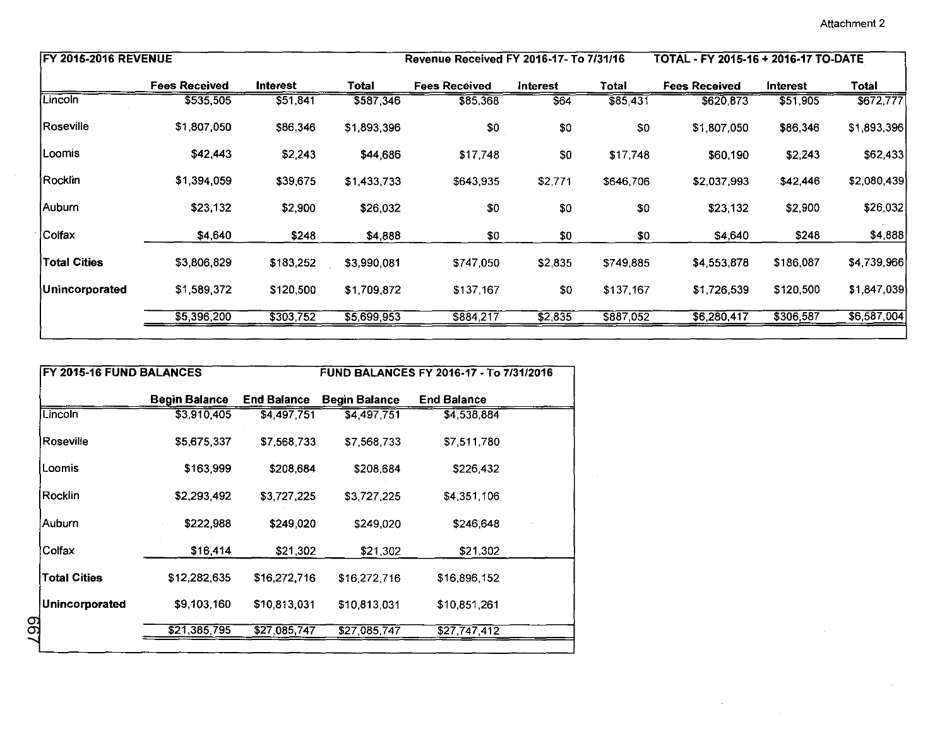$\sim$   $\sim$ 

| <b>FY 2015-2016 REVENUE</b>   |                      |                    |                      | Revenue Received FY 2016-17- To 7/31/16 |                 |           | TOTAL - FY 2015-16 + 2016-17 TO-DATE |           |             |  |
|-------------------------------|----------------------|--------------------|----------------------|-----------------------------------------|-----------------|-----------|--------------------------------------|-----------|-------------|--|
|                               | <b>Fees Received</b> | Interest           | <b>Total</b>         | <b>Fees Received</b>                    | <b>Interest</b> | Total     | <b>Fees Received</b>                 | Interest  | Total       |  |
| Lincoln                       | \$535,505            | 551,841            | \$587,346            | \$85,368                                | \$64            | \$85,431  | \$620,873                            | \$51,905  | \$672,777   |  |
| Roseville                     | \$1,807,050          | \$86,346           | \$1,893,396          | \$0                                     | \$0             | \$0       | \$1,807,050                          | \$86,346  | \$1,893,396 |  |
| Loomis                        | \$42,443             | \$2,243            | \$44,686             | \$17,748                                | \$0             | \$17,748  | \$60,190                             | \$2,243   | \$62,433    |  |
| Rocklin                       | \$1,394,059          | \$39,675           | \$1,433,733          | \$643,935                               | \$2,771         | \$646,706 | \$2,037,993                          | \$42,446  | \$2,080,439 |  |
| Auburn                        | \$23,132             | \$2,900            | \$26,032             | \$0                                     | \$0             | \$0       | \$23,132                             | \$2,900   | \$26,032    |  |
| Colfax                        | \$4,640              | \$248              | \$4,888              | \$0                                     | \$0             | \$0       | \$4,640                              | \$248     | \$4,888     |  |
| <b>Total Cities</b>           | \$3,806,829          | \$183,252          | \$3,990,081          | \$747,050                               | \$2,835         | \$749,885 | \$4,553,878                          | \$186,087 | \$4,739,966 |  |
| Unincorporated                |                      | \$120,500          | \$1,709,872          | \$137,167                               | \$0             | \$137,167 | \$1,726,539                          | \$120,500 | \$1,847,039 |  |
|                               | \$1,589,372          |                    |                      |                                         |                 |           |                                      |           |             |  |
|                               | \$5,396,200          | \$303,752          | \$5,699,953          | \$884,217                               | 32,835          | \$887,052 | \$6,280,417                          | \$306,587 |             |  |
| FY 2015-16 FUND BALANCES      |                      |                    |                      | FUND BALANCES FY 2016-17 - To 7/31/2016 |                 |           |                                      |           |             |  |
|                               | <b>Begin Balance</b> | <b>End Balance</b> | <b>Begin Balance</b> | <b>End Balance</b>                      |                 |           |                                      |           |             |  |
| Lincoln                       | \$3,910,405          | \$4,497,751        | \$4,497,751          | \$4,538,884                             |                 |           |                                      |           | \$6,587,004 |  |
| Roseville                     | \$5,675,337          | \$7,568,733        | \$7,568,733          | \$7,511,780                             |                 |           |                                      |           |             |  |
| Loomis                        | \$163,999            | \$208,684          | \$208,684            | \$226,432                               |                 |           |                                      |           |             |  |
| Rocklin                       | \$2,293,492          | \$3,727,225        | \$3,727,225          | \$4,351,106                             |                 |           |                                      |           |             |  |
| Auburn                        | \$222,988            | \$249,020          | \$249,020            | \$246,648                               |                 |           |                                      |           |             |  |
|                               | \$16,414             | \$21,302           | \$21,302             | \$21,302                                |                 |           |                                      |           |             |  |
| Colfax<br><b>Total Cities</b> | \$12,282,635         | \$16,272,716       | \$16,272,716         | \$16,896,152                            |                 |           |                                      |           |             |  |
| Unincorporated<br><b>L99</b>  | \$9,103,160          | \$10,813,031       | \$10,813,031         | \$10,851,261                            |                 |           |                                      |           |             |  |

| FY 2015-16 FUND BALANCES |               |                    | FUND BALANCES FY 2016-17 - To 7/31/2016 |                    |  |  |  |
|--------------------------|---------------|--------------------|-----------------------------------------|--------------------|--|--|--|
|                          | Begin Balance | <b>End Balance</b> | <b>Begin Balance</b>                    | <b>End Balance</b> |  |  |  |
| Lincoln -                | \$3,910,405   | \$4,497,751        | \$4,497.751                             | \$4,538,884        |  |  |  |
| Roseville                | \$5,675,337   | \$7.568.733        | \$7,568,733                             | \$7,511,780        |  |  |  |
| Loomis                   | \$163,999     | \$208,684          | \$208,684                               | \$226,432          |  |  |  |
| Rocklin                  | \$2,293,492   | \$3,727,225        | \$3,727,225                             | \$4,351,106        |  |  |  |
| Auburn                   | \$222,988     | \$249,020          | \$249,020                               | \$246,648          |  |  |  |
| Colfax                   | \$16,414      | \$21,302           | $$21,302$ .                             | \$21,302           |  |  |  |
| Total Cities             | \$12,282,635  | \$16,272,716       | \$16,272,716                            | \$16,896,152       |  |  |  |
| Unincorporated           | \$9,103,160   | \$10,813,031       | \$10,813,031                            | \$10,851,261       |  |  |  |
|                          | \$21,385,795  | \$27,085,747       | \$27,085,747                            | \$27,747,412       |  |  |  |